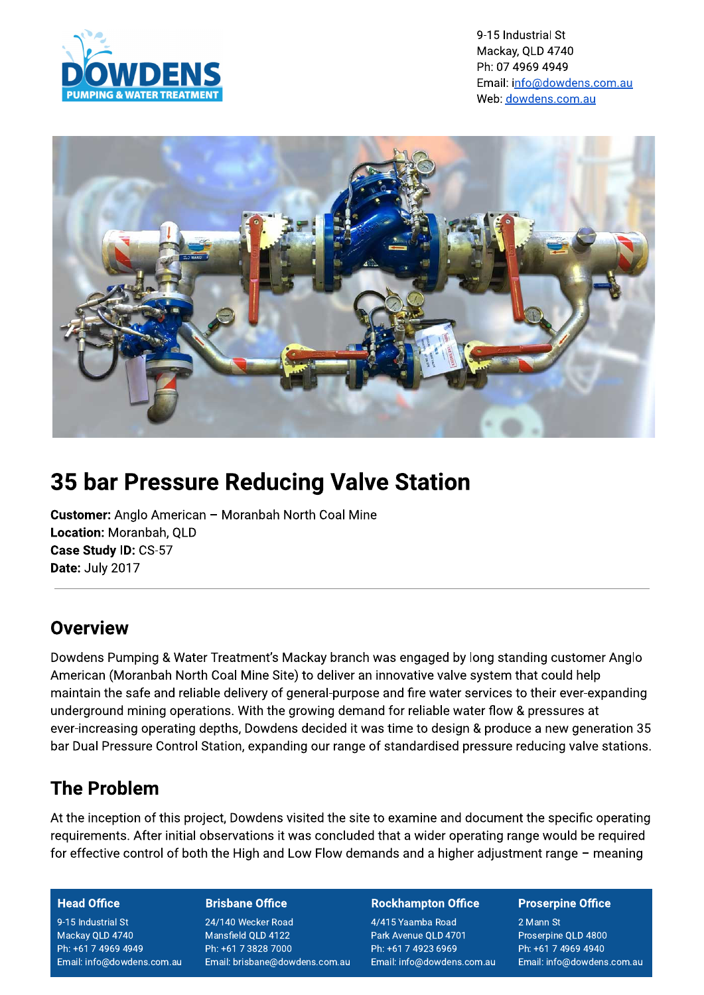

9-15 Industrial St Mackay, QLD 4740 Ph: 07 4969 4949 Email: info@dowdens.com.au Web: dowdens.com.au



# **35 bar Pressure Reducing Valve Station**

**Customer:** Anglo American - Moranbah North Coal Mine Location: Moranbah, QLD Case Study ID: CS-57 Date: July 2017

## Overview

Dowdens Pumping & Water Treatment's Mackay branch was engaged by long standing customer Anglo American (Moranbah North Coal Mine Site) to deliver an innovative valve system that could help maintain the safe and reliable delivery of general-purpose and fire water services to their ever-expanding underground mining operations. With the growing demand for reliable water flow & pressures at ever-increasing operating depths, Dowdens decided it was time to design & produce a new generation 35 bar Dual Pressure Control Station, expanding our range of standardised pressure reducing valve stations.

# **The Problem**

At the inception of this project, Dowdens visited the site to examine and document the specific operating requirements. After initial observations it was concluded that a wider operating range would be required for effective control of both the High and Low Flow demands and a higher adjustment range - meaning

#### **Head Office**

9-15 Industrial St Mackay QLD 4740 Ph: +61 7 4969 4949 Email: info@dowdens.com.au

#### **Brisbane Office**

24/140 Wecker Road Mansfield QLD 4122 Ph: +61 7 3828 7000 Email: brisbane@dowdens.com.au

#### **Rockhampton Office**

4/415 Yaamba Road Park Avenue QLD 4701 Ph: +61 7 4923 6969 Email: info@dowdens.com.au

#### **Proserpine Office**

2 Mann St Proserpine QLD 4800 Ph: +61 7 4969 4940 Email: info@dowdens.com.au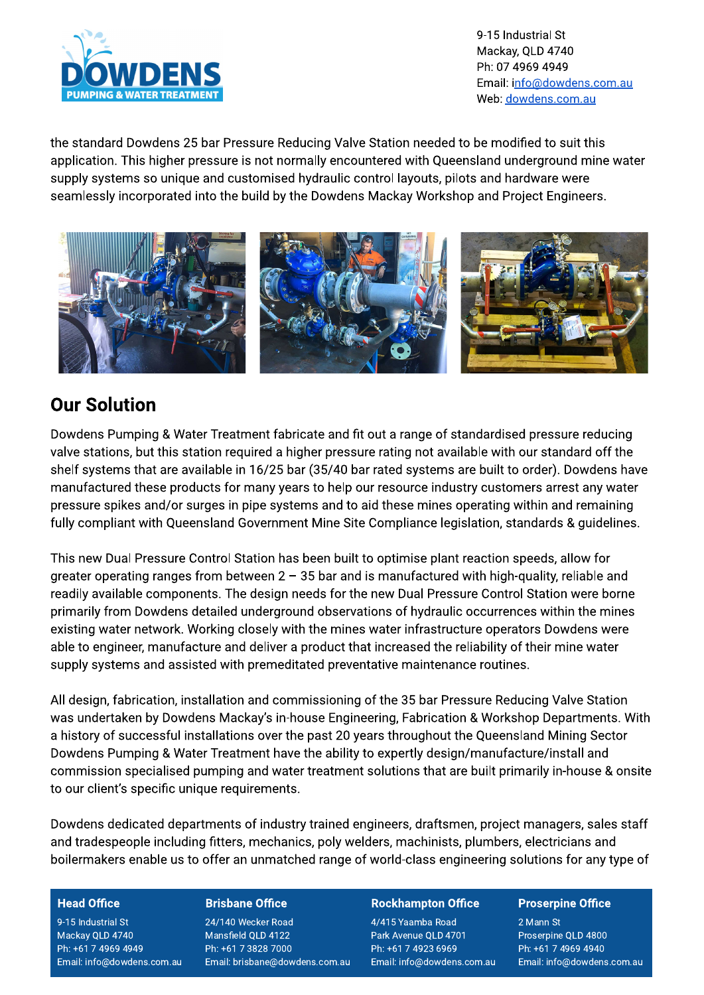

9-15 Industrial St Mackay, QLD 4740 Ph: 07 4969 4949 Email: info@dowdens.com.au Web: dowdens.com.au

the standard Dowdens 25 bar Pressure Reducing Valve Station needed to be modified to suit this application. This higher pressure is not normally encountered with Queensland underground mine water supply systems so unique and customised hydraulic control layouts, pilots and hardware were seamlessly incorporated into the build by the Dowdens Mackay Workshop and Project Engineers.



### **Our Solution**

Dowdens Pumping & Water Treatment fabricate and fit out a range of standardised pressure reducing valve stations, but this station required a higher pressure rating not available with our standard off the shelf systems that are available in 16/25 bar (35/40 bar rated systems are built to order). Dowdens have manufactured these products for many years to help our resource industry customers arrest any water pressure spikes and/or surges in pipe systems and to aid these mines operating within and remaining fully compliant with Queensland Government Mine Site Compliance legislation, standards & guidelines.

This new Dual Pressure Control Station has been built to optimise plant reaction speeds, allow for greater operating ranges from between  $2 - 35$  bar and is manufactured with high-quality, reliable and readily available components. The design needs for the new Dual Pressure Control Station were borne primarily from Dowdens detailed underground observations of hydraulic occurrences within the mines existing water network. Working closely with the mines water infrastructure operators Dowdens were able to engineer, manufacture and deliver a product that increased the reliability of their mine water supply systems and assisted with premeditated preventative maintenance routines.

All design, fabrication, installation and commissioning of the 35 bar Pressure Reducing Valve Station was undertaken by Dowdens Mackay's in-house Engineering, Fabrication & Workshop Departments. With a history of successful installations over the past 20 years throughout the Queensland Mining Sector Dowdens Pumping & Water Treatment have the ability to expertly design/manufacture/install and commission specialised pumping and water treatment solutions that are built primarily in-house & onsite to our client's specific unique requirements.

Dowdens dedicated departments of industry trained engineers, draftsmen, project managers, sales staff and tradespeople including fitters, mechanics, poly welders, machinists, plumbers, electricians and boilermakers enable us to offer an unmatched range of world-class engineering solutions for any type of

#### **Head Office**

9-15 Industrial St Mackay QLD 4740 Ph: +61 7 4969 4949 Email: info@dowdens.com.au

#### **Brisbane Office**

24/140 Wecker Road Mansfield QLD 4122 Ph: +61 7 3828 7000 Email: brisbane@dowdens.com.au

#### **Rockhampton Office**

4/415 Yaamba Road Park Avenue QLD 4701 Ph: +61 7 4923 6969 Email: info@dowdens.com.au

#### **Proserpine Office**

2 Mann St Proserpine QLD 4800 Ph: +61 7 4969 4940 Email: info@dowdens.com.au